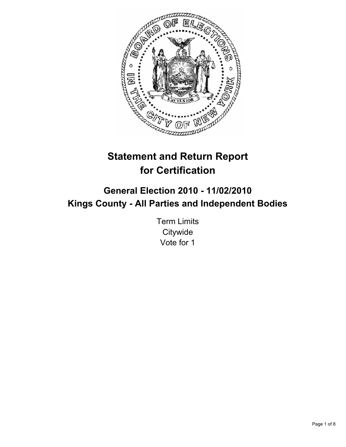

# **Statement and Return Report for Certification**

## **General Election 2010 - 11/02/2010 Kings County - All Parties and Independent Bodies**

Term Limits **Citywide** Vote for 1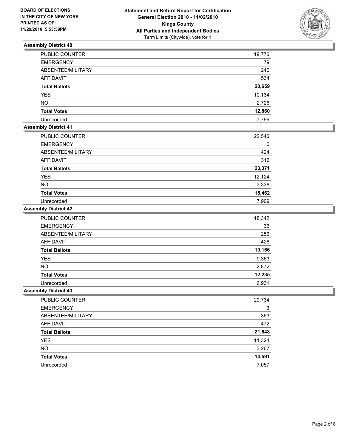

| PUBLIC COUNTER       | 19,776 |
|----------------------|--------|
| <b>EMERGENCY</b>     | 79     |
| ABSENTEE/MILITARY    | 240    |
| <b>AFFIDAVIT</b>     | 534    |
| <b>Total Ballots</b> | 20,659 |
| <b>YES</b>           | 10,134 |
| <b>NO</b>            | 2,726  |
| <b>Total Votes</b>   | 12,860 |
| Unrecorded           | 7,799  |

## **Assembly District 41**

| <b>PUBLIC COUNTER</b> | 22,546 |
|-----------------------|--------|
| <b>EMERGENCY</b>      | 0      |
| ABSENTEE/MILITARY     | 424    |
| <b>AFFIDAVIT</b>      | 312    |
| <b>Total Ballots</b>  | 23,371 |
| <b>YES</b>            | 12,124 |
| <b>NO</b>             | 3,338  |
| <b>Total Votes</b>    | 15,462 |
| Unrecorded            | 7.909  |

#### **Assembly District 42**

| <b>PUBLIC COUNTER</b> | 18,342 |
|-----------------------|--------|
| <b>EMERGENCY</b>      | 36     |
| ABSENTEE/MILITARY     | 256    |
| <b>AFFIDAVIT</b>      | 428    |
| <b>Total Ballots</b>  | 19,166 |
| <b>YES</b>            | 9,363  |
| <b>NO</b>             | 2,872  |
| <b>Total Votes</b>    | 12,235 |
| Unrecorded            | 6,931  |

| PUBLIC COUNTER       | 20,734 |
|----------------------|--------|
| <b>EMERGENCY</b>     | 3      |
| ABSENTEE/MILITARY    | 363    |
| AFFIDAVIT            | 472    |
| <b>Total Ballots</b> | 21,648 |
| <b>YES</b>           | 11,324 |
| <b>NO</b>            | 3,267  |
| <b>Total Votes</b>   | 14,591 |
| Unrecorded           | 7,057  |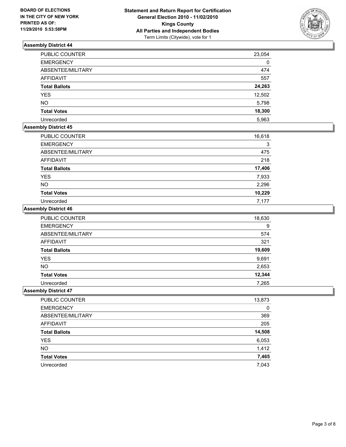

| <b>PUBLIC COUNTER</b> | 23,054 |
|-----------------------|--------|
| <b>EMERGENCY</b>      | 0      |
| ABSENTEE/MILITARY     | 474    |
| <b>AFFIDAVIT</b>      | 557    |
| <b>Total Ballots</b>  | 24,263 |
| <b>YES</b>            | 12,502 |
| <b>NO</b>             | 5,798  |
| <b>Total Votes</b>    | 18,300 |
| Unrecorded            | 5,963  |

## **Assembly District 45**

| PUBLIC COUNTER       | 16,618 |
|----------------------|--------|
| <b>EMERGENCY</b>     | 3      |
| ABSENTEE/MILITARY    | 475    |
| <b>AFFIDAVIT</b>     | 218    |
| <b>Total Ballots</b> | 17,406 |
| <b>YES</b>           | 7,933  |
| <b>NO</b>            | 2,296  |
| <b>Total Votes</b>   | 10,229 |
| Unrecorded           | 7.177  |

#### **Assembly District 46**

| <b>PUBLIC COUNTER</b> | 18,630 |
|-----------------------|--------|
| <b>EMERGENCY</b>      | 9      |
| ABSENTEE/MILITARY     | 574    |
| <b>AFFIDAVIT</b>      | 321    |
| <b>Total Ballots</b>  | 19,609 |
| <b>YES</b>            | 9,691  |
| <b>NO</b>             | 2,653  |
| <b>Total Votes</b>    | 12,344 |
| Unrecorded            | 7,265  |

| PUBLIC COUNTER       | 13,873 |
|----------------------|--------|
| <b>EMERGENCY</b>     | 0      |
| ABSENTEE/MILITARY    | 369    |
| AFFIDAVIT            | 205    |
| <b>Total Ballots</b> | 14,508 |
| <b>YES</b>           | 6,053  |
| <b>NO</b>            | 1,412  |
| <b>Total Votes</b>   | 7,465  |
| Unrecorded           | 7,043  |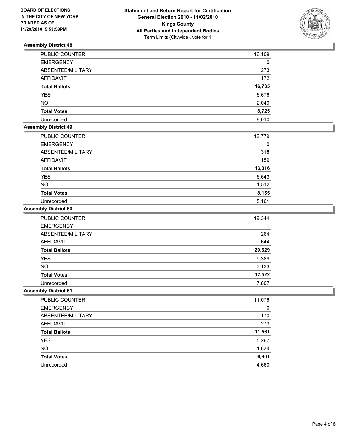

| PUBLIC COUNTER       | 16,109 |
|----------------------|--------|
| <b>EMERGENCY</b>     | 0      |
| ABSENTEE/MILITARY    | 273    |
| <b>AFFIDAVIT</b>     | 172    |
| <b>Total Ballots</b> | 16,735 |
| <b>YES</b>           | 6,676  |
| <b>NO</b>            | 2,049  |
| <b>Total Votes</b>   | 8,725  |
| Unrecorded           | 8.010  |

## **Assembly District 49**

| PUBLIC COUNTER       | 12,779 |
|----------------------|--------|
| <b>EMERGENCY</b>     | 0      |
| ABSENTEE/MILITARY    | 318    |
| <b>AFFIDAVIT</b>     | 159    |
| <b>Total Ballots</b> | 13,316 |
| <b>YES</b>           | 6,643  |
| <b>NO</b>            | 1,512  |
| <b>Total Votes</b>   | 8,155  |
| Unrecorded           | 5,161  |

#### **Assembly District 50**

| <b>PUBLIC COUNTER</b> | 19,344 |
|-----------------------|--------|
| <b>EMERGENCY</b>      |        |
| ABSENTEE/MILITARY     | 264    |
| AFFIDAVIT             | 644    |
| <b>Total Ballots</b>  | 20,329 |
| <b>YES</b>            | 9,389  |
| <b>NO</b>             | 3,133  |
| <b>Total Votes</b>    | 12,522 |
| Unrecorded            | 7,807  |

| PUBLIC COUNTER       | 11,076 |
|----------------------|--------|
| <b>EMERGENCY</b>     | 0      |
| ABSENTEE/MILITARY    | 170    |
| AFFIDAVIT            | 273    |
| <b>Total Ballots</b> | 11,561 |
| <b>YES</b>           | 5,267  |
| <b>NO</b>            | 1,634  |
| <b>Total Votes</b>   | 6,901  |
| Unrecorded           | 4,660  |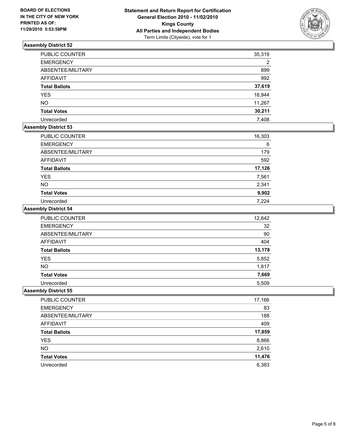

| PUBLIC COUNTER       | 35,319 |
|----------------------|--------|
| <b>EMERGENCY</b>     | 2      |
| ABSENTEE/MILITARY    | 899    |
| <b>AFFIDAVIT</b>     | 992    |
| <b>Total Ballots</b> | 37,619 |
| <b>YES</b>           | 18,944 |
| <b>NO</b>            | 11,267 |
| <b>Total Votes</b>   | 30,211 |
| Unrecorded           | 7,408  |

## **Assembly District 53**

| <b>PUBLIC COUNTER</b> | 16,303 |
|-----------------------|--------|
| <b>EMERGENCY</b>      | 6      |
| ABSENTEE/MILITARY     | 179    |
| <b>AFFIDAVIT</b>      | 592    |
| <b>Total Ballots</b>  | 17,126 |
| <b>YES</b>            | 7,561  |
| <b>NO</b>             | 2,341  |
| <b>Total Votes</b>    | 9,902  |
| Unrecorded            | 7.224  |

#### **Assembly District 54**

| <b>PUBLIC COUNTER</b> | 12,642 |
|-----------------------|--------|
| <b>EMERGENCY</b>      | 32     |
| ABSENTEE/MILITARY     | 90     |
| <b>AFFIDAVIT</b>      | 404    |
| <b>Total Ballots</b>  | 13,178 |
| YES                   | 5,852  |
| <b>NO</b>             | 1,817  |
| <b>Total Votes</b>    | 7,669  |
| Unrecorded            | 5,509  |

| PUBLIC COUNTER       | 17,166 |
|----------------------|--------|
| <b>EMERGENCY</b>     | 83     |
| ABSENTEE/MILITARY    | 188    |
| AFFIDAVIT            | 409    |
| <b>Total Ballots</b> | 17,859 |
| <b>YES</b>           | 8,866  |
| <b>NO</b>            | 2,610  |
| <b>Total Votes</b>   | 11,476 |
| Unrecorded           | 6,383  |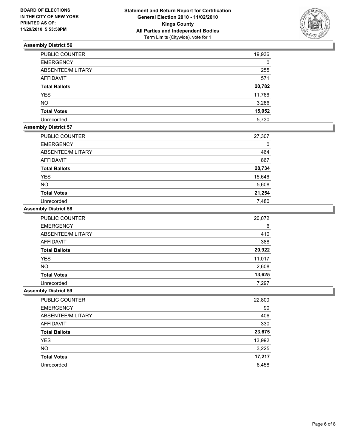

| PUBLIC COUNTER       | 19,936 |
|----------------------|--------|
| <b>EMERGENCY</b>     | 0      |
| ABSENTEE/MILITARY    | 255    |
| <b>AFFIDAVIT</b>     | 571    |
| <b>Total Ballots</b> | 20,782 |
| <b>YES</b>           | 11,766 |
| <b>NO</b>            | 3,286  |
| <b>Total Votes</b>   | 15,052 |
| Unrecorded           | 5,730  |

## **Assembly District 57**

| PUBLIC COUNTER       | 27,307 |
|----------------------|--------|
| <b>EMERGENCY</b>     | 0      |
| ABSENTEE/MILITARY    | 464    |
| AFFIDAVIT            | 867    |
| <b>Total Ballots</b> | 28,734 |
| <b>YES</b>           | 15,646 |
| <b>NO</b>            | 5,608  |
| <b>Total Votes</b>   | 21,254 |
| Unrecorded           | 7,480  |

#### **Assembly District 58**

| PUBLIC COUNTER       | 20,072 |
|----------------------|--------|
| <b>EMERGENCY</b>     | 6      |
| ABSENTEE/MILITARY    | 410    |
| <b>AFFIDAVIT</b>     | 388    |
| <b>Total Ballots</b> | 20,922 |
| <b>YES</b>           | 11,017 |
| <b>NO</b>            | 2,608  |
| <b>Total Votes</b>   | 13,625 |
| Unrecorded           | 7.297  |

| PUBLIC COUNTER       | 22,800 |
|----------------------|--------|
| <b>EMERGENCY</b>     | 90     |
| ABSENTEE/MILITARY    | 406    |
| <b>AFFIDAVIT</b>     | 330    |
| <b>Total Ballots</b> | 23,675 |
| <b>YES</b>           | 13,992 |
| <b>NO</b>            | 3,225  |
| <b>Total Votes</b>   | 17,217 |
| Unrecorded           | 6,458  |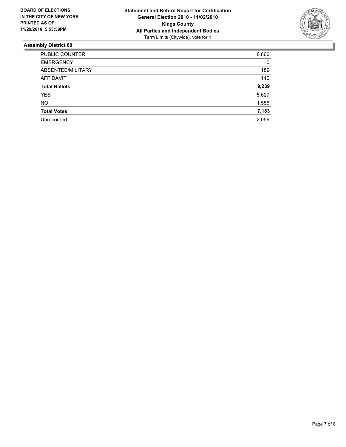

| PUBLIC COUNTER       | 8,866 |
|----------------------|-------|
| <b>EMERGENCY</b>     | 0     |
| ABSENTEE/MILITARY    | 189   |
| AFFIDAVIT            | 140   |
| <b>Total Ballots</b> | 9,239 |
| <b>YES</b>           | 5,627 |
| <b>NO</b>            | 1,556 |
| <b>Total Votes</b>   | 7,183 |
| Unrecorded           | 2.056 |